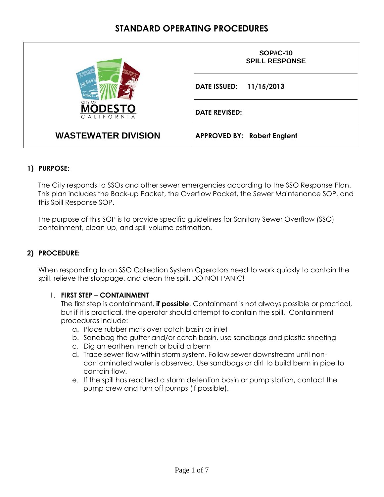|                                        | <b>SOP#C-10</b><br><b>SPILL RESPONSE</b> |  |  |  |  |  |  |  |
|----------------------------------------|------------------------------------------|--|--|--|--|--|--|--|
|                                        | DATE ISSUED: 11/15/2013                  |  |  |  |  |  |  |  |
| CITY OF<br><b>ODESTO</b><br>CALIFORNIA | <b>DATE REVISED:</b>                     |  |  |  |  |  |  |  |
| <b>WASTEWATER DIVISION</b>             | <b>APPROVED BY: Robert Englent</b>       |  |  |  |  |  |  |  |

### **1) PURPOSE:**

The City responds to SSOs and other sewer emergencies according to the SSO Response Plan. This plan includes the Back-up Packet, the Overflow Packet, the Sewer Maintenance SOP, and this Spill Response SOP.

The purpose of this SOP is to provide specific guidelines for Sanitary Sewer Overflow (SSO) containment, clean-up, and spill volume estimation.

### **2) PROCEDURE:**

When responding to an SSO Collection System Operators need to work quickly to contain the spill, relieve the stoppage, and clean the spill. DO NOT PANIC!

#### 1. **FIRST STEP** – **CONTAINMENT**

The first step is containment, **if possible**. Containment is not always possible or practical, but if it is practical, the operator should attempt to contain the spill. Containment procedures include:

- a. Place rubber mats over catch basin or inlet
- b. Sandbag the gutter and/or catch basin, use sandbags and plastic sheeting
- c. Dig an earthen trench or build a berm
- d. Trace sewer flow within storm system. Follow sewer downstream until noncontaminated water is observed. Use sandbags or dirt to build berm in pipe to contain flow.
- e. If the spill has reached a storm detention basin or pump station, contact the pump crew and turn off pumps (if possible).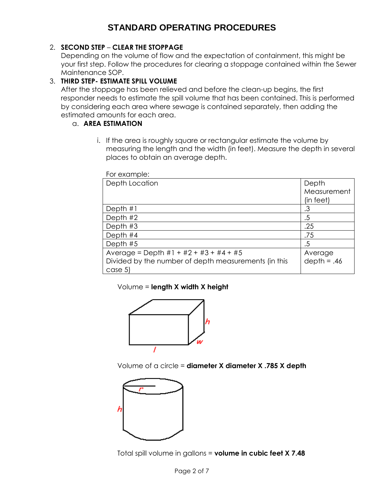### 2. **SECOND STEP** – **CLEAR THE STOPPAGE**

Depending on the volume of flow and the expectation of containment, this might be your first step. Follow the procedures for clearing a stoppage contained within the Sewer Maintenance SOP.

### 3. **THIRD STEP- ESTIMATE SPILL VOLUME**

After the stoppage has been relieved and before the clean-up begins, the first responder needs to estimate the spill volume that has been contained. This is performed by considering each area where sewage is contained separately, then adding the estimated amounts for each area.

### a. **AREA ESTIMATION**

i. If the area is roughly square or rectangular estimate the volume by measuring the length and the width (in feet). Measure the depth in several places to obtain an average depth.

| For example:                                         |               |
|------------------------------------------------------|---------------|
| Depth Location                                       | Depth         |
|                                                      | Measurement   |
|                                                      | (in feet)     |
| Depth $#1$                                           | .3            |
| Depth $#2$                                           | .5            |
| Depth $#3$                                           | .25           |
| Depth #4                                             | .75           |
| Depth #5                                             | .5            |
| Average = Depth $#1 + #2 + #3 + #4 + #5$             | Average       |
| Divided by the number of depth measurements (in this | $depth = .46$ |
| case 5)                                              |               |

#### Volume = **length X width X height**



Volume of a circle = **diameter X diameter X .785 X depth**



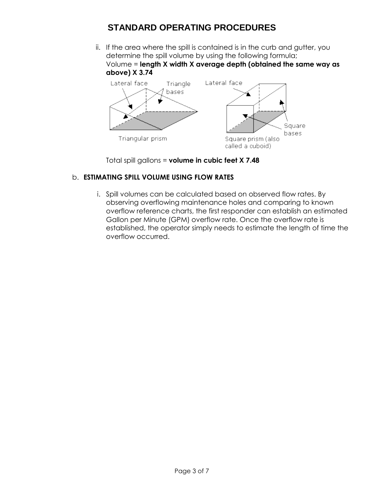ii. If the area where the spill is contained is in the curb and gutter, you determine the spill volume by using the following formula; Volume = **length X width X average depth (obtained the same way as above) X 3.74**



Total spill gallons = **volume in cubic feet X 7.48**

### b. **ESTIMATING SPILL VOLUME USING FLOW RATES**

i. Spill volumes can be calculated based on observed flow rates. By observing overflowing maintenance holes and comparing to known overflow reference charts, the first responder can establish an estimated Gallon per Minute (GPM) overflow rate. Once the overflow rate is established, the operator simply needs to estimate the length of time the overflow occurred.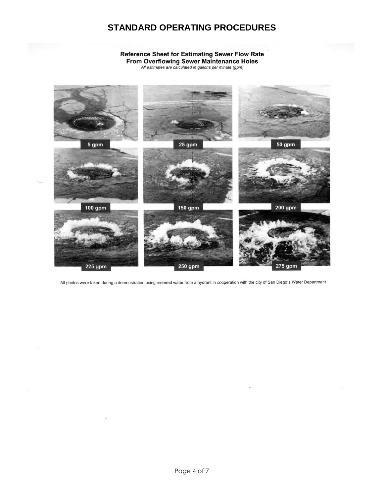## **Reference Sheet for Estimating Sewer Flow Rate** From Overflowing Sewer Maintenance Holes<br>All estimates are calculated in gallons per minute (gpm)



All photos were taken during a demonstration using metered water from a hydrant in cooperation with the city of San Diego's Water Department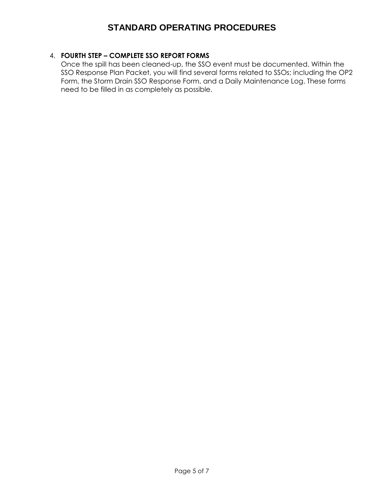### 4. **FOURTH STEP – COMPLETE SSO REPORT FORMS**

Once the spill has been cleaned-up, the SSO event must be documented. Within the SSO Response Plan Packet, you will find several forms related to SSOs; including the OP2 Form, the Storm Drain SSO Response Form, and a Daily Maintenance Log. These forms need to be filled in as completely as possible.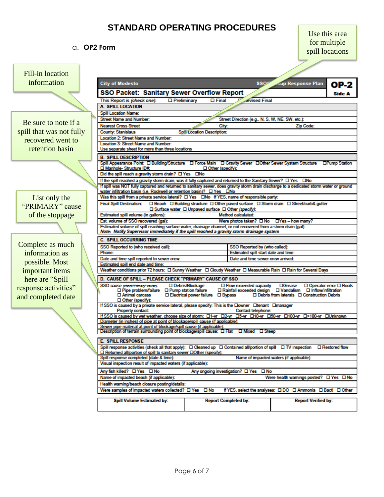### a. **OP2 Form**

Use this area for multiple spill locations

| <b>Fill-in location</b>  |                                                                                                                                                                                                          |                             |                                                                                                                                                                                                                                                                                                                                                                                                                                                                                                                                                                                                                                                                                                                                                                                                                                                                                                                                                                                                                                                                                                                                                                                                                                                                                                                                                                                                                                                                               |                          |               |  |  |  |  |  |  |
|--------------------------|----------------------------------------------------------------------------------------------------------------------------------------------------------------------------------------------------------|-----------------------------|-------------------------------------------------------------------------------------------------------------------------------------------------------------------------------------------------------------------------------------------------------------------------------------------------------------------------------------------------------------------------------------------------------------------------------------------------------------------------------------------------------------------------------------------------------------------------------------------------------------------------------------------------------------------------------------------------------------------------------------------------------------------------------------------------------------------------------------------------------------------------------------------------------------------------------------------------------------------------------------------------------------------------------------------------------------------------------------------------------------------------------------------------------------------------------------------------------------------------------------------------------------------------------------------------------------------------------------------------------------------------------------------------------------------------------------------------------------------------------|--------------------------|---------------|--|--|--|--|--|--|
| information              | <b>City of Modesto</b>                                                                                                                                                                                   |                             | <b>SSO</b>                                                                                                                                                                                                                                                                                                                                                                                                                                                                                                                                                                                                                                                                                                                                                                                                                                                                                                                                                                                                                                                                                                                                                                                                                                                                                                                                                                                                                                                                    | <b>Kup Response Plan</b> | OP-2          |  |  |  |  |  |  |
|                          | SSO Packet: Sanitary Sewer Overflow Report                                                                                                                                                               |                             |                                                                                                                                                                                                                                                                                                                                                                                                                                                                                                                                                                                                                                                                                                                                                                                                                                                                                                                                                                                                                                                                                                                                                                                                                                                                                                                                                                                                                                                                               |                          | <b>Side A</b> |  |  |  |  |  |  |
|                          | This Report is <i>(check one)</i> :<br>□ Preliminary                                                                                                                                                     |                             |                                                                                                                                                                                                                                                                                                                                                                                                                                                                                                                                                                                                                                                                                                                                                                                                                                                                                                                                                                                                                                                                                                                                                                                                                                                                                                                                                                                                                                                                               |                          |               |  |  |  |  |  |  |
|                          | <b>A. SPILL LOCATION</b>                                                                                                                                                                                 |                             |                                                                                                                                                                                                                                                                                                                                                                                                                                                                                                                                                                                                                                                                                                                                                                                                                                                                                                                                                                                                                                                                                                                                                                                                                                                                                                                                                                                                                                                                               |                          |               |  |  |  |  |  |  |
|                          | <b>Spill Location Name:</b>                                                                                                                                                                              |                             |                                                                                                                                                                                                                                                                                                                                                                                                                                                                                                                                                                                                                                                                                                                                                                                                                                                                                                                                                                                                                                                                                                                                                                                                                                                                                                                                                                                                                                                                               |                          |               |  |  |  |  |  |  |
| Be sure to note if a     | <b>Street Name and Number:</b>                                                                                                                                                                           |                             |                                                                                                                                                                                                                                                                                                                                                                                                                                                                                                                                                                                                                                                                                                                                                                                                                                                                                                                                                                                                                                                                                                                                                                                                                                                                                                                                                                                                                                                                               |                          |               |  |  |  |  |  |  |
|                          | <b>Nearest Cross Street</b>                                                                                                                                                                              |                             |                                                                                                                                                                                                                                                                                                                                                                                                                                                                                                                                                                                                                                                                                                                                                                                                                                                                                                                                                                                                                                                                                                                                                                                                                                                                                                                                                                                                                                                                               |                          |               |  |  |  |  |  |  |
| spill that was not fully | <b>County: Stanislaus</b><br><b>Location 2: Street Name and Number:</b>                                                                                                                                  | Spill Location Description: |                                                                                                                                                                                                                                                                                                                                                                                                                                                                                                                                                                                                                                                                                                                                                                                                                                                                                                                                                                                                                                                                                                                                                                                                                                                                                                                                                                                                                                                                               |                          |               |  |  |  |  |  |  |
| recovered went to        | <b>Location 3: Street Name and Number:</b>                                                                                                                                                               |                             |                                                                                                                                                                                                                                                                                                                                                                                                                                                                                                                                                                                                                                                                                                                                                                                                                                                                                                                                                                                                                                                                                                                                                                                                                                                                                                                                                                                                                                                                               |                          |               |  |  |  |  |  |  |
| retention basin          | Use separate sheet for more than three locations                                                                                                                                                         |                             |                                                                                                                                                                                                                                                                                                                                                                                                                                                                                                                                                                                                                                                                                                                                                                                                                                                                                                                                                                                                                                                                                                                                                                                                                                                                                                                                                                                                                                                                               |                          |               |  |  |  |  |  |  |
|                          | <b>B. SPILL DESCRIPTION</b>                                                                                                                                                                              |                             |                                                                                                                                                                                                                                                                                                                                                                                                                                                                                                                                                                                                                                                                                                                                                                                                                                                                                                                                                                                                                                                                                                                                                                                                                                                                                                                                                                                                                                                                               |                          |               |  |  |  |  |  |  |
|                          |                                                                                                                                                                                                          |                             |                                                                                                                                                                                                                                                                                                                                                                                                                                                                                                                                                                                                                                                                                                                                                                                                                                                                                                                                                                                                                                                                                                                                                                                                                                                                                                                                                                                                                                                                               |                          |               |  |  |  |  |  |  |
|                          | □ Manhole- Structure ID#:                                                                                                                                                                                |                             |                                                                                                                                                                                                                                                                                                                                                                                                                                                                                                                                                                                                                                                                                                                                                                                                                                                                                                                                                                                                                                                                                                                                                                                                                                                                                                                                                                                                                                                                               |                          |               |  |  |  |  |  |  |
|                          | Did the spill reach a gravity storm drain? $\Box$ Yes $\Box$ No                                                                                                                                          |                             |                                                                                                                                                                                                                                                                                                                                                                                                                                                                                                                                                                                                                                                                                                                                                                                                                                                                                                                                                                                                                                                                                                                                                                                                                                                                                                                                                                                                                                                                               |                          |               |  |  |  |  |  |  |
|                          |                                                                                                                                                                                                          |                             |                                                                                                                                                                                                                                                                                                                                                                                                                                                                                                                                                                                                                                                                                                                                                                                                                                                                                                                                                                                                                                                                                                                                                                                                                                                                                                                                                                                                                                                                               |                          |               |  |  |  |  |  |  |
|                          | water infiltration basin (i.e. Rockwell or retention basin)? $\Box$ Yes $\Box$ No                                                                                                                        |                             |                                                                                                                                                                                                                                                                                                                                                                                                                                                                                                                                                                                                                                                                                                                                                                                                                                                                                                                                                                                                                                                                                                                                                                                                                                                                                                                                                                                                                                                                               |                          |               |  |  |  |  |  |  |
| List only the            | Was this spill from a private service lateral? [ Yes [ ]No If YES, name of responsible party:                                                                                                            |                             |                                                                                                                                                                                                                                                                                                                                                                                                                                                                                                                                                                                                                                                                                                                                                                                                                                                                                                                                                                                                                                                                                                                                                                                                                                                                                                                                                                                                                                                                               |                          |               |  |  |  |  |  |  |
| "PRIMARY" cause          |                                                                                                                                                                                                          |                             |                                                                                                                                                                                                                                                                                                                                                                                                                                                                                                                                                                                                                                                                                                                                                                                                                                                                                                                                                                                                                                                                                                                                                                                                                                                                                                                                                                                                                                                                               |                          |               |  |  |  |  |  |  |
|                          |                                                                                                                                                                                                          |                             |                                                                                                                                                                                                                                                                                                                                                                                                                                                                                                                                                                                                                                                                                                                                                                                                                                                                                                                                                                                                                                                                                                                                                                                                                                                                                                                                                                                                                                                                               |                          |               |  |  |  |  |  |  |
| of the stoppage          | Estimated spill volume (in gallons):                                                                                                                                                                     |                             |                                                                                                                                                                                                                                                                                                                                                                                                                                                                                                                                                                                                                                                                                                                                                                                                                                                                                                                                                                                                                                                                                                                                                                                                                                                                                                                                                                                                                                                                               |                          |               |  |  |  |  |  |  |
|                          | Est. volume of SSO recovered (gal):                                                                                                                                                                      |                             |                                                                                                                                                                                                                                                                                                                                                                                                                                                                                                                                                                                                                                                                                                                                                                                                                                                                                                                                                                                                                                                                                                                                                                                                                                                                                                                                                                                                                                                                               |                          |               |  |  |  |  |  |  |
|                          | Note: Notify Supervisor immediately if the spill reached a gravity storm drainage system                                                                                                                 |                             |                                                                                                                                                                                                                                                                                                                                                                                                                                                                                                                                                                                                                                                                                                                                                                                                                                                                                                                                                                                                                                                                                                                                                                                                                                                                                                                                                                                                                                                                               |                          |               |  |  |  |  |  |  |
|                          | <b>C. SPILL OCCURRING TIME</b>                                                                                                                                                                           |                             |                                                                                                                                                                                                                                                                                                                                                                                                                                                                                                                                                                                                                                                                                                                                                                                                                                                                                                                                                                                                                                                                                                                                                                                                                                                                                                                                                                                                                                                                               |                          |               |  |  |  |  |  |  |
| Complete as much         | SSO Reported to (who received call):                                                                                                                                                                     |                             |                                                                                                                                                                                                                                                                                                                                                                                                                                                                                                                                                                                                                                                                                                                                                                                                                                                                                                                                                                                                                                                                                                                                                                                                                                                                                                                                                                                                                                                                               |                          |               |  |  |  |  |  |  |
| information as           | Phone:                                                                                                                                                                                                   |                             |                                                                                                                                                                                                                                                                                                                                                                                                                                                                                                                                                                                                                                                                                                                                                                                                                                                                                                                                                                                                                                                                                                                                                                                                                                                                                                                                                                                                                                                                               |                          |               |  |  |  |  |  |  |
|                          | Date and time spill reported to sewer crew:                                                                                                                                                              |                             |                                                                                                                                                                                                                                                                                                                                                                                                                                                                                                                                                                                                                                                                                                                                                                                                                                                                                                                                                                                                                                                                                                                                                                                                                                                                                                                                                                                                                                                                               |                          |               |  |  |  |  |  |  |
| possible. Most           | Estimated spill end date and time:                                                                                                                                                                       |                             |                                                                                                                                                                                                                                                                                                                                                                                                                                                                                                                                                                                                                                                                                                                                                                                                                                                                                                                                                                                                                                                                                                                                                                                                                                                                                                                                                                                                                                                                               |                          |               |  |  |  |  |  |  |
| important items          |                                                                                                                                                                                                          |                             |                                                                                                                                                                                                                                                                                                                                                                                                                                                                                                                                                                                                                                                                                                                                                                                                                                                                                                                                                                                                                                                                                                                                                                                                                                                                                                                                                                                                                                                                               |                          |               |  |  |  |  |  |  |
| here are "Spill"         | D. CAUSE OF SPILL - PLEASE CHECK "PRIMARY" CAUSE OF SSO                                                                                                                                                  |                             |                                                                                                                                                                                                                                                                                                                                                                                                                                                                                                                                                                                                                                                                                                                                                                                                                                                                                                                                                                                                                                                                                                                                                                                                                                                                                                                                                                                                                                                                               |                          |               |  |  |  |  |  |  |
| response activities"     | SSO cause (check Primary <sup>a</sup> cause):                                                                                                                                                            | □ Debris/Blockage           |                                                                                                                                                                                                                                                                                                                                                                                                                                                                                                                                                                                                                                                                                                                                                                                                                                                                                                                                                                                                                                                                                                                                                                                                                                                                                                                                                                                                                                                                               | $\Box$ Grease            |               |  |  |  |  |  |  |
|                          | $\square$ Pipe problem/failure $\square$ Pump station failure<br>□ Animal carcass<br>$\square$ Electrical power failure $\square$ Bypass<br>$\square$ Debris from laterals $\square$ Construction Debris |                             |                                                                                                                                                                                                                                                                                                                                                                                                                                                                                                                                                                                                                                                                                                                                                                                                                                                                                                                                                                                                                                                                                                                                                                                                                                                                                                                                                                                                                                                                               |                          |               |  |  |  |  |  |  |
| and completed date       | □ Other (specify):                                                                                                                                                                                       |                             |                                                                                                                                                                                                                                                                                                                                                                                                                                                                                                                                                                                                                                                                                                                                                                                                                                                                                                                                                                                                                                                                                                                                                                                                                                                                                                                                                                                                                                                                               |                          |               |  |  |  |  |  |  |
|                          | If SSO is caused by a private service lateral, please specify: This is the Downer Dtenant Dmanager                                                                                                       |                             |                                                                                                                                                                                                                                                                                                                                                                                                                                                                                                                                                                                                                                                                                                                                                                                                                                                                                                                                                                                                                                                                                                                                                                                                                                                                                                                                                                                                                                                                               |                          |               |  |  |  |  |  |  |
|                          | Property contact:<br><b>Contact telephone:</b><br>If SSO is caused by wet weather, choose size of storm: □1-yr □2-yr □5-yr □10-yr □50-yr □100-yr □>100-yr □Unknown                                       |                             |                                                                                                                                                                                                                                                                                                                                                                                                                                                                                                                                                                                                                                                                                                                                                                                                                                                                                                                                                                                                                                                                                                                                                                                                                                                                                                                                                                                                                                                                               |                          |               |  |  |  |  |  |  |
|                          | Diameter (in inches) of pipe at point of blockage/spill cause (if applicable):                                                                                                                           |                             |                                                                                                                                                                                                                                                                                                                                                                                                                                                                                                                                                                                                                                                                                                                                                                                                                                                                                                                                                                                                                                                                                                                                                                                                                                                                                                                                                                                                                                                                               |                          |               |  |  |  |  |  |  |
|                          | Sewer pipe material at point of blockage/spill cause (if applicable):                                                                                                                                    |                             |                                                                                                                                                                                                                                                                                                                                                                                                                                                                                                                                                                                                                                                                                                                                                                                                                                                                                                                                                                                                                                                                                                                                                                                                                                                                                                                                                                                                                                                                               |                          |               |  |  |  |  |  |  |
|                          | Description of terrain surrounding point of blockage/spill cause: $\Box$ Flat $\Box$ Mixed $\Box$ Steep                                                                                                  |                             |                                                                                                                                                                                                                                                                                                                                                                                                                                                                                                                                                                                                                                                                                                                                                                                                                                                                                                                                                                                                                                                                                                                                                                                                                                                                                                                                                                                                                                                                               |                          |               |  |  |  |  |  |  |
|                          | <b>E. SPILL RESPONSE</b>                                                                                                                                                                                 |                             |                                                                                                                                                                                                                                                                                                                                                                                                                                                                                                                                                                                                                                                                                                                                                                                                                                                                                                                                                                                                                                                                                                                                                                                                                                                                                                                                                                                                                                                                               |                          |               |  |  |  |  |  |  |
|                          | Spill response activities (check all that apply): □ Cleaned up □ Contained all/portion of spill □ TV inspection □ Restored flow                                                                          |                             |                                                                                                                                                                                                                                                                                                                                                                                                                                                                                                                                                                                                                                                                                                                                                                                                                                                                                                                                                                                                                                                                                                                                                                                                                                                                                                                                                                                                                                                                               |                          |               |  |  |  |  |  |  |
|                          | $\Box$ Returned all/portion of spill to sanitary sewer $\Box$ Other (specify):<br>Spill response completed (date & time):                                                                                |                             |                                                                                                                                                                                                                                                                                                                                                                                                                                                                                                                                                                                                                                                                                                                                                                                                                                                                                                                                                                                                                                                                                                                                                                                                                                                                                                                                                                                                                                                                               |                          |               |  |  |  |  |  |  |
|                          | Visual inspection result of impacted waters (if applicable):                                                                                                                                             |                             |                                                                                                                                                                                                                                                                                                                                                                                                                                                                                                                                                                                                                                                                                                                                                                                                                                                                                                                                                                                                                                                                                                                                                                                                                                                                                                                                                                                                                                                                               |                          |               |  |  |  |  |  |  |
|                          | Any fish killed? □ Yes □ No                                                                                                                                                                              |                             |                                                                                                                                                                                                                                                                                                                                                                                                                                                                                                                                                                                                                                                                                                                                                                                                                                                                                                                                                                                                                                                                                                                                                                                                                                                                                                                                                                                                                                                                               |                          |               |  |  |  |  |  |  |
|                          | Name of impacted beach (if applicable):                                                                                                                                                                  |                             |                                                                                                                                                                                                                                                                                                                                                                                                                                                                                                                                                                                                                                                                                                                                                                                                                                                                                                                                                                                                                                                                                                                                                                                                                                                                                                                                                                                                                                                                               |                          |               |  |  |  |  |  |  |
|                          | Health warning/beach closure posting/details:                                                                                                                                                            |                             |                                                                                                                                                                                                                                                                                                                                                                                                                                                                                                                                                                                                                                                                                                                                                                                                                                                                                                                                                                                                                                                                                                                                                                                                                                                                                                                                                                                                                                                                               |                          |               |  |  |  |  |  |  |
|                          |                                                                                                                                                                                                          |                             |                                                                                                                                                                                                                                                                                                                                                                                                                                                                                                                                                                                                                                                                                                                                                                                                                                                                                                                                                                                                                                                                                                                                                                                                                                                                                                                                                                                                                                                                               |                          |               |  |  |  |  |  |  |
|                          |                                                                                                                                                                                                          |                             |                                                                                                                                                                                                                                                                                                                                                                                                                                                                                                                                                                                                                                                                                                                                                                                                                                                                                                                                                                                                                                                                                                                                                                                                                                                                                                                                                                                                                                                                               |                          |               |  |  |  |  |  |  |
|                          | <b>Spill Volume Estimated by:</b>                                                                                                                                                                        |                             | $\Box$ Final<br><b>evised Final</b><br>Street Direction (e.g., N, S, W, NE, SW, etc.):<br>Zip Code:<br>City:<br>Spill Appearance Point: □ Building/Structure □ Force Main □ Gravity Sewer □ Other Sewer System Structure □ Pump Station<br>Other (specify):<br>If the spill reached a gravity storm drain, was it fully captured and returned to the Sanitary Sewer? $\Box$ Yes $\Box$ No<br>If spill was NOT fully captured and returned to sanitary sewer, does gravity storm drain discharge to a dedicated storm water or ground<br>$\Box$ Surface water $\Box$ Unpaved surface $\Box$ Other (specify):<br>Method calculated:<br>Were photos taken? $\Box$ No $\Box$ Yes - how many?<br>Estimated volume of spill reaching surface water, drainage channel, or not recovered from a storm drain (gal):<br>SSO Reported by (who called):<br>Estimated spill start date and time:<br>Date and time sewer crew arrived:<br>Weather conditions prior 72 hours: [ Sunny Weather   D Cloudy Weather   D Measurable Rain   D Rain for Several Days<br>$\square$ Flow exceeded capacity<br>$\Box$ Operator error $\Box$ Roots<br>$\Box$ Rainfall exceeded design $\Box$ Vandalism $\Box$ Inflow/infiltration<br>Name of impacted waters (if applicable):<br>Any ongoing investigation? □ Yes □ No<br>Were health warnings posted? $\Box$ Yes $\Box$ No<br>If YES, select the analyses: 000 0 Ammonia 0 Bacti 0 Other<br><b>Report Completed by:</b><br><b>Report Verified by:</b> |                          |               |  |  |  |  |  |  |